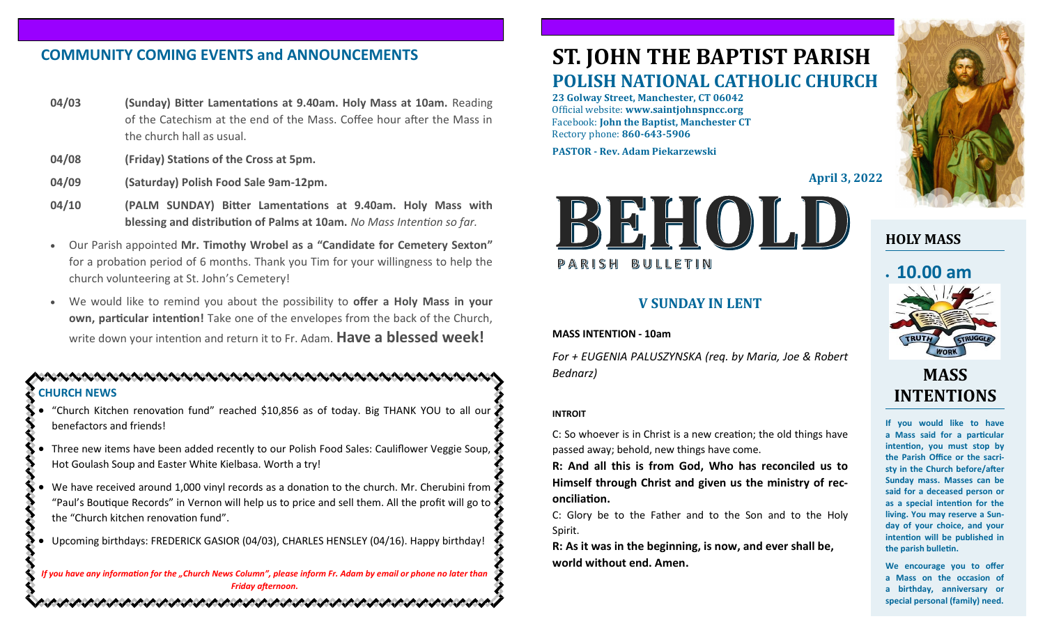## **COMMUNITY COMING EVENTS and ANNOUNCEMENTS**

- **04/03 (Sunday) Bitter Lamentations at 9.40am. Holy Mass at 10am.** Reading of the Catechism at the end of the Mass. Coffee hour after the Mass in the church hall as usual.
- **04/08 (Friday) Stations of the Cross at 5pm.**
- **04/09 (Saturday) Polish Food Sale 9am-12pm.**
- **04/10 (PALM SUNDAY) Bitter Lamentations at 9.40am. Holy Mass with blessing and distribution of Palms at 10am.** *No Mass Intention so far.*
- Our Parish appointed **Mr. Timothy Wrobel as a "Candidate for Cemetery Sexton"**  for a probation period of 6 months. Thank you Tim for your willingness to help the church volunteering at St. John's Cemetery!
- We would like to remind you about the possibility to **offer a Holy Mass in your own, particular intention!** Take one of the envelopes from the back of the Church, write down your intention and return it to Fr. Adam. **Have a blessed week!**

#### **CHURCH NEWS**

- "Church Kitchen renovation fund" reached \$10,856 as of today. Big THANK YOU to all our benefactors and friends!
- Three new items have been added recently to our Polish Food Sales: Cauliflower Veggie Soup, Hot Goulash Soup and Easter White Kielbasa. Worth a try!
- We have received around 1,000 vinyl records as a donation to the church. Mr. Cherubini from "Paul's Boutique Records" in Vernon will help us to price and sell them. All the profit will go to the "Church kitchen renovation fund".
- Upcoming birthdays: FREDERICK GASIOR (04/03), CHARLES HENSLEY (04/16). Happy birthday!

*If you have any information for the "Church News Column", please inform Fr. Adam by email or phone no later than Friday afternoon.*

いんけいさんけいかんけいきょうけいきょうけいきょうけいきょうけ

# **ST. JOHN THE BAPTIST PARISH POLISH NATIONAL CATHOLIC CHURCH**

**23 Golway Street, Manchester, CT 06042** Official website: **www.saintjohnspncc.org** Facebook: **John the Baptist, Manchester CT** Rectory phone: **860-643-5906** 

**PASTOR - Rev. Adam Piekarzewski**

**April 3, 2022**



#### **V SUNDAY IN LENT**

#### **MASS INTENTION - 10am**

*For + EUGENIA PALUSZYNSKA (req. by Maria, Joe & Robert Bednarz)*

#### **INTROIT**

C: So whoever is in Christ is a new creation; the old things have passed away; behold, new things have come.

**R: And all this is from God, Who has reconciled us to Himself through Christ and given us the ministry of reconciliation.**

C: Glory be to the Father and to the Son and to the Holy Spirit.

**R: As it was in the beginning, is now, and ever shall be, world without end. Amen.**



## **HOLY MASS**

## • **10.00 am**



# **MASS INTENTIONS**

**If you would like to have a Mass said for a particular intention, you must stop by the Parish Office or the sacristy in the Church before/after Sunday mass. Masses can be said for a deceased person or as a special intention for the living. You may reserve a Sunday of your choice, and your intention will be published in the parish bulletin.**

**We encourage you to offer a Mass on the occasion of a birthday, anniversary or special personal (family) need.**